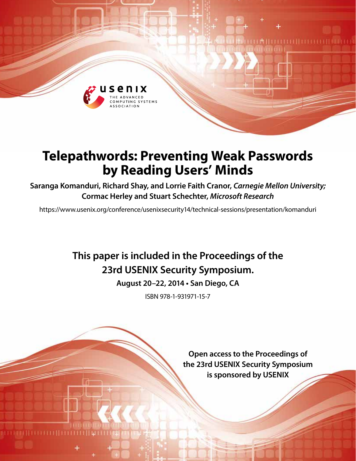

# **Telepathwords: Preventing Weak Passwords by Reading Users' Minds**

**Saranga Komanduri, Richard Shay, and Lorrie Faith Cranor,** *Carnegie Mellon University;* **Cormac Herley and Stuart Schechter,** *Microsoft Research*

https://www.usenix.org/conference/usenixsecurity14/technical-sessions/presentation/komanduri

## **This paper is included in the Proceedings of the 23rd USENIX Security Symposium.**

**August 20–22, 2014 • San Diego, CA**

ISBN 978-1-931971-15-7

**Open access to the Proceedings of the 23rd USENIX Security Symposium is sponsored by USENIX**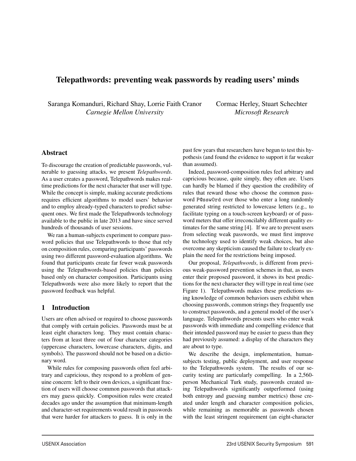## Telepathwords: preventing weak passwords by reading users' minds

Saranga Komanduri, Richard Shay, Lorrie Faith Cranor *Carnegie Mellon University*

Cormac Herley, Stuart Schechter *Microsoft Research*

## Abstract

To discourage the creation of predictable passwords, vulnerable to guessing attacks, we present *Telepathwords*. As a user creates a password, Telepathwords makes realtime predictions for the next character that user will type. While the concept is simple, making accurate predictions requires efficient algorithms to model users' behavior and to employ already-typed characters to predict subsequent ones. We first made the Telepathwords technology available to the public in late 2013 and have since served hundreds of thousands of user sessions.

We ran a human-subjects experiment to compare password policies that use Telepathwords to those that rely on composition rules, comparing participants' passwords using two different password-evaluation algorithms. We found that participants create far fewer weak passwords using the Telepathwords-based policies than policies based only on character composition. Participants using Telepathwords were also more likely to report that the password feedback was helpful.

## 1 Introduction

Users are often advised or required to choose passwords that comply with certain policies. Passwords must be at least eight characters long. They must contain characters from at least three out of four character categories (uppercase characters, lowercase characters, digits, and symbols). The password should not be based on a dictionary word.

While rules for composing passwords often feel arbitrary and capricious, they respond to a problem of genuine concern: left to their own devices, a significant fraction of users will choose common passwords that attackers may guess quickly. Composition rules were created decades ago under the assumption that minimum-length and character-set requirements would result in passwords that were harder for attackers to guess. It is only in the past few years that researchers have begun to test this hypothesis (and found the evidence to support it far weaker than assumed).

Indeed, password-composition rules feel arbitrary and capricious because, quite simply, they often are. Users can hardly be blamed if they question the credibility of rules that reward those who choose the common password P@ssw0rd over those who enter a long randomly generated string restricted to lowercase letters (e.g., to facilitate typing on a touch-screen keyboard) or of password meters that offer irreconcilably different quality estimates for the same string [4]. If we are to prevent users from selecting weak passwords, we must first improve the technology used to identify weak choices, but also overcome any skepticism caused the failure to clearly explain the need for the restrictions being imposed.

Our proposal, *Telepathwords*, is different from previous weak-password prevention schemes in that, as users enter their proposed password, it shows its best predictions for the next character they will type in real time (see Figure 1). Telepathwords makes these predictions using knowledge of common behaviors users exhibit when choosing passwords, common strings they frequently use to construct passwords, and a general model of the user's language. Telepathwords presents users who enter weak passwords with immediate and compelling evidence that their intended password may be easier to guess than they had previously assumed: a display of the characters they are about to type.

We describe the design, implementation, humansubjects testing, public deployment, and user response to the Telepathwords system. The results of our security testing are particularly compelling. In a 2,560 person Mechanical Turk study, passwords created using Telepathwords significantly outperformed (using both entropy and guessing number metrics) those created under length and character composition policies, while remaining as memorable as passwords chosen with the least stringent requirement (an eight-character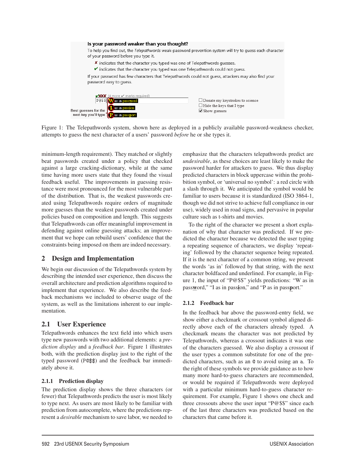

Figure 1: The Telepathwords system, shown here as deployed in a publicly available password-weakness checker, attempts to guess the next character of a users' password *before* he or she types it.

minimum-length requirement). They matched or slightly beat passwords created under a policy that checked against a large cracking-dictionary, while at the same time having more users state that they found the visual feedback useful. The improvements in guessing resistance were most pronounced for the most vulnerable part of the distribution. That is, the weakest passwords created using Telepathwords require orders of magnitude more guesses than the weakest passwords created under policies based on composition and length. This suggests that Telepathwords can offer meaningful improvement in defending against online guessing attacks; an improvement that we hope can rebuild users' confidence that the constraints being imposed on them are indeed necessary.

## 2 Design and Implementation

We begin our discussion of the Telepathwords system by describing the intended user experience, then discuss the overall architecture and prediction algorithms required to implement that experience. We also describe the feedback mechanisms we included to observe usage of the system, as well as the limitations inherent to our implementation.

## 2.1 User Experience

Telepathwords enhances the text field into which users type new passwords with two additional elements: a *prediction display* and a *feedback bar*. Figure 1 illustrates both, with the prediction display just to the right of the typed password (P@\$\$) and the feedback bar immediately above it.

## 2.1.1 Prediction display

The prediction display shows the three characters (or fewer) that Telepathwords predicts the user is most likely to type next. As users are most likely to be familiar with prediction from autocomplete, where the predictions represent a *desirable* mechanism to save labor, we needed to emphasize that the characters telepathwords predict are *undesirable*, as these choices are least likely to make the password harder for attackers to guess. We thus display predicted characters in block uppercase within the prohibition symbol, or 'universal no symbol': a red circle with a slash through it. We anticipated the symbol would be familiar to users because it is standardized (ISO 3864-1, though we did not strive to achieve full compliance in our use), widely used in road signs, and pervasive in popular culture such as t-shirts and movies.

To the right of the character we present a short explanation of why that character was predicted. If we predicted the character because we detected the user typing a repeating sequence of characters, we display 'repeating' followed by the character sequence being repeated. If it is the next character of a common string, we present the words 'as in' followed by that string, with the next character boldfaced and underlined. For example, in Figure 1, the input of "P@\$\$" yields predictions: "W as in password," "I as in passion," and "P as in passport."

## 2.1.2 Feedback bar

2

In the feedback bar above the password-entry field, we show either a checkmark or crossout symbol aligned directly above each of the characters already typed. A checkmark means the character was not predicted by Telepathwords, whereas a crossout indicates it was one of the characters guessed. We also display a crossout if the user types a common substitute for one of the predicted characters, such as an @ to avoid using an a. To the right of these symbols we provide guidance as to how many more hard-to-guess characters are recommended, or would be required if Telepathwords were deployed with a particular minimum hard-to-guess character requirement. For example, Figure 1 shows one check and three crossouts above the user input "P@\$\$" since each of the last three characters was predicted based on the characters that came before it.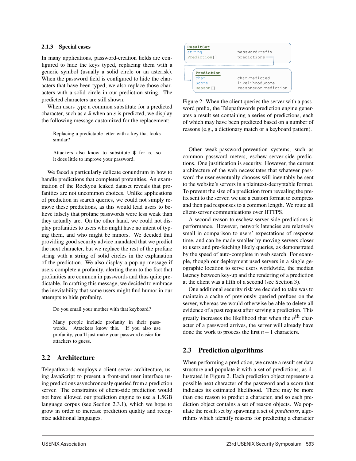#### 2.1.3 Special cases

In many applications, password-creation fields are configured to hide the keys typed, replacing them with a generic symbol (usually a solid circle or an asterisk). When the password field is configured to hide the characters that have been typed, we also replace those characters with a solid circle in our prediction string. The predicted characters are still shown.

When users type a common substitute for a predicted character, such as a *\$* when an *s* is predicted, we display the following message customized for the replacement:

Replacing a predictable letter with a key that looks similar?

Attackers also know to substitute  $$$  for s, so it does little to improve your password.

We faced a particularly delicate conundrum in how to handle predictions that completed profanities. An examination of the Rockyou leaked dataset reveals that profanities are not uncommon choices. Unlike applications of prediction in search queries, we could not simply remove these predictions, as this would lead users to believe falsely that profane passwords were less weak than they actually are. On the other hand, we could not display profanities to users who might have no intent of typing them, and who might be minors. We decided that providing good security advice mandated that we predict the next character, but we replace the rest of the profane string with a string of solid circles in the explanation of the prediction. We also display a pop-up message if users complete a profanity, alerting them to the fact that profanities are common in passwords and thus quite predictable. In crafting this message, we decided to embrace the inevitability that some users might find humor in our attempts to hide profanity.

Do you email your mother with that keyboard?

Many people include profanity in their passwords. Attackers know this. If you also use profanity, you'll just make your password easier for attackers to guess.

## 2.2 Architecture

Telepathwords employs a client-server architecture, using JavaScript to present a front-end user interface using predictions asynchronously queried from a prediction server. The constraints of client-side prediction would not have allowed our prediction engine to use a 1.5GB language corpus (see Section 2.3.1), which we hope to grow in order to increase prediction quality and recognize additional languages.



which move hove **k** of which may have been predicted based on a number of reasons (e.g., a dictionary match or a keyboard pattern). Figure 2: When the client queries the server with a password prefix, the Telepathwords prediction engine generates a result set containing a series of predictions, each

**TrieNode** common password meters, eschew server-side predictions. One justification is security. However, the current Other weak-password-prevention systems, such as architecture of the web necessitates that whatever password the user eventually chooses will inevitably be sent to the website's servers in a plaintext-decryptable format. To prevent the size of a prediction from revealing the prefix sent to the server, we use a custom format to compress and then pad responses to a common length. We route all client-server communications over HTTPS.

A second reason to eschew server-side predictions is performance. However, network latencies are relatively small in comparison to users' expectations of response time, and can be made smaller by moving servers closer to users and pre-fetching likely queries, as demonstrated by the speed of auto-complete in web search. For example, though our deployment used servers in a single geographic location to serve users worldwide, the median latency between key-up and the rendering of a prediction at the client was a fifth of a second (see Section 3).

One additional security risk we decided to take was to maintain a cache of previously queried prefixes on the server, whereas we would otherwise be able to delete all evidence of a past request after serving a prediction. This greatly increases the likelihood that when the *n*th character of a password arrives, the server will already have done the work to process the first *n*−1 characters.

## 2.3 Prediction algorithms

3

When performing a prediction, we create a result set data structure and populate it with a set of predictions, as illustrated in Figure 2. Each prediction object represents a possible next character of the password and a score that indicates its estimated likelihood. There may be more than one reason to predict a character, and so each prediction object contains a set of reason objects. We populate the result set by spawning a set of *predictors*, algorithms which identify reasons for predicting a character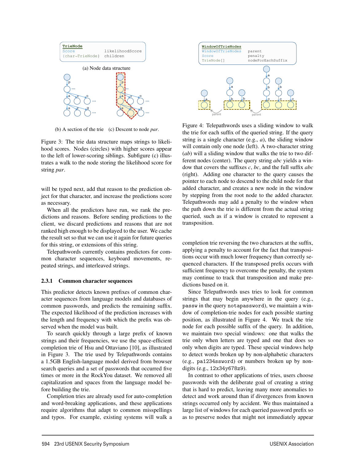

(b) A section of the trie (c) Descent to node *par*.

Figure 3: The trie data structure maps strings to likelihood scores. Nodes (circles) with higher scores appear to the left of lower-scoring siblings. Subfigure (c) illustrates a walk to the node storing the likelihood score for string *par*.

will be typed next, add that reason to the prediction object for that character, and increase the predictions score as necessary.

When all the predictors have run, we rank the predictions and reasons. Before sending predictions to the client, we discard predictions and reasons that are not ranked high enough to be displayed to the user. We cache the result set so that we can use it again for future queries for this string, or extensions of this string.

Telepathwords currently contains predictors for common character sequences, keyboard movements, repeated strings, and interleaved strings.

#### 2.3.1 Common character sequences

This predictor detects known prefixes of common character sequences from language models and databases of common passwords, and predicts the remaining suffix. The expected likelihood of the prediction increases with the length and frequency with which the prefix was observed when the model was built.

To search quickly through a large prefix of known strings and their frequencies, we use the space-efficient completion trie of Hsu and Ottaviano [10], as illustrated in Figure 3. The trie used by Telepathwords contains a 1.5GB English-language model derived from browser search queries and a set of passwords that occurred five times or more in the RockYou dataset. We removed all capitalization and spaces from the language model before building the trie.

Completion tries are already used for auto-completion and word-breaking applications, and these applications require algorithms that adapt to common misspellings and typos. For example, existing systems will walk a

4



Figure 4: Telepathwords uses a sliding window to walk the trie for each suffix of the queried string. If the query string is a single character (e.g., *a*), the sliding window will contain only one node (left). A two-character string (*ab*) will a sliding window that walks the trie to two different nodes (center). The query string *abc* yields a window that covers the suffixes *c*, *bc*, and the full suffix *abc* (right). Adding one character to the query causes the pointer to each node to descend to the child node for that added character, and creates a new node in the window by stepping from the root node to the added character. Telepathwords may add a penalty to the window when the path down the trie is different from the actual string queried, such as if a window is created to represent a transposition.

completion trie reversing the two characters at the suffix, applying a penalty to account for the fact that transpositions occur with much lower frequency than correctly sequenced characters. If the transposed prefix occurs with sufficient frequency to overcome the penalty, the system may continue to track that transposition and make predictions based on it.

Since Telepathwords uses tries to look for common strings that may begin anywhere in the query (e.g., passw in the query notapassword), we maintain a window of completion-trie nodes for each possible starting position, as illustrated in Figure 4. We track the trie node for each possible suffix of the query. In addition, we maintain two special windows: one that walks the trie only when letters are typed and one that does so only when digits are typed. These special windows help to detect words broken up by non-alphabetic characters (e.g., pa1234ssword) or numbers broken up by nondigits (e.g., 12x34y678z9).

In contrast to other applications of tries, users choose passwords with the deliberate goal of creating a string that is hard to predict, leaving many more anomalies to detect and work around than if divergences from known strings occurred only by accident. We thus maintained a large list of windows for each queried password prefix so as to preserve nodes that might not immediately appear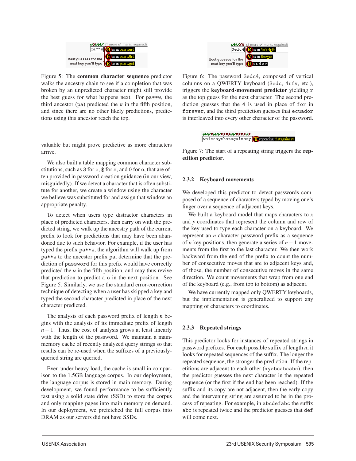

Figure 5: The common character sequence predictor walks the ancestry chain to see if a completion that was broken by an unpredicted character might still provide the best guess for what happens next. For pa\*\*w, the third ancestor (pa) predicted the w in the fifth position, and since there are no other likely predictions, predictions using this ancestor reach the top.

valuable but might prove predictive as more characters arrive.

We also built a table mapping common character substitutions, such as 3 for e, \$ for s, and 0 for o, that are often provided in password-creation guidance (in our view, misguidedly). If we detect a character that is often substitute for another, we create a window using the character we believe was substituted for and assign that window an appropriate penalty.

To detect when users type distractor characters in place of predicted characters, then carry on with the predicted string, we walk up the ancestry path of the current prefix to look for predictions that may have been abandoned due to such behavior. For example, if the user has typed the prefix pa\*\*w, the algorithm will walk up from pa\*\*w to the ancestor prefix pa, determine that the prediction of password for this prefix would have correctly predicted the w in the fifth position, and may thus revive that prediction to predict a o in the next position. See Figure 5. Similarly, we use the standard error-correction technique of detecting when a user has skipped a key and typed the second character predicted in place of the next character predicted.

The analysis of each password prefix of length *n* begins with the analysis of its immediate prefix of length  $n-1$ . Thus, the cost of analysis grows at least linearly with the length of the password. We maintain a mainmemory cache of recently analyzed query strings so that results can be re-used when the suffixes of a previouslyqueried string are queried.

Even under heavy load, the cache is small in comparison to the 1.5GB language corpus. In our deployment, the language corpus is stored in main memory. During development, we found performance to be sufficiently fast using a solid state drive (SSD) to store the corpus and only mapping pages into main memory on demand. In our deployment, we prefetched the full corpus into DRAM as our servers did not have SSDs.



Figure 6: The password 3edc4, composed of vertical columns on a QWERTY keyboard (3edc, 4rfv, etc.), triggers the keyboard-movement predictor yielding r as the top guess for the next character. The second prediction guesses that the 4 is used in place of for in forever, and the third prediction guesses that ecuador is interleaved into every other character of the password.



Figure 7: The start of a repeating string triggers the repetition predictor.

#### 2.3.2 Keyboard movements

We developed this predictor to detect passwords composed of a sequence of characters typed by moving one's finger over a sequence of adjacent keys.

We built a keyboard model that maps characters to *x* and *y* coordinates that represent the column and row of the key used to type each character on a keyboard. We represent an *n*-character password prefix as a sequence of *n* key positions, then generate a series of *n*−1 movements from the first to the last character. We then work backward from the end of the prefix to count the number of consecutive moves that are to adjacent keys and, of those, the number of consecutive moves in the same direction. We count movements that wrap from one end of the keyboard (e.g., from top to bottom) as adjacent.

We have currently mapped only QWERTY keyboards, but the implementation is generalized to support any mapping of characters to coordinates.

## 2.3.3 Repeated strings

5

This predictor looks for instances of repeated strings in password prefixes. For each possible suffix of length *n*, it looks for repeated sequences of the suffix. The longer the repeated sequence, the stronger the prediction. If the repetitions are adjacent to each other (xyabcabcabc), then the predictor guesses the next character in the repeated sequence (or the first if the end has been reached). If the suffix and its copy are not adjacent, then the early copy and the intervening string are assumed to be in the process of repeating. For example, in abcdefabc the suffix abc is repeated twice and the predictor guesses that def will come next.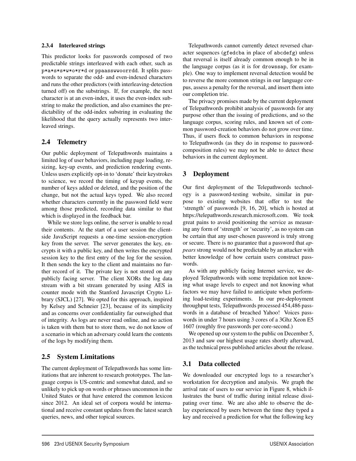#### 2.3.4 Interleaved strings

This predictor looks for passwords composed of two predictable strings interleaved with each other, such as p\*a\*s\*s\*w\*o\*r\*d or ppaasswwoorrdd. It splits passwords to separate the odd- and even-indexed characters and runs the other predictors (with interleaving-detection turned off) on the substrings. If, for example, the next character is at an even-index, it uses the even-index substring to make the prediction, and also examines the predictability of the odd-index substring in evaluating the likelihood that the query actually represents two interleaved strings.

## 2.4 Telemetry

Our public deployment of Telepathwords maintains a limited log of user behaviors, including page loading, resizing, key-up events, and prediction rendering events. Unless users explicitly opt-in to 'donate' their keystrokes to science, we record the timing of keyup events, the number of keys added or deleted, and the position of the change, but not the actual keys typed. We also record whether characters currently in the password field were among those predicted, recording data similar to that which is displayed in the feedback bar.

While we store logs online, the server is unable to read their contents. At the start of a user session the clientside JavaScript requests a one-time session-encryption key from the server. The server generates the key, encrypts it with a public key, and then writes the encrypted session key to the first entry of the log for the session. It then sends the key to the client and maintains no further record of it. The private key is not stored on any publicly facing server. The client XORs the log data stream with a bit stream generated by using AES in counter mode with the Stanford Javascript Crypto Library (SJCL) [27]. We opted for this approach, inspired by Kelsey and Schneier [23], because of its simplicity and as concerns over confidentiality far outweighed that of integrity. As logs are never read online, and no action is taken with them but to store them, we do not know of a scenario in which an adversary could learn the contents of the logs by modifying them.

## 2.5 System Limitations

The current deployment of Telepathwords has some limitations that are inherent to research prototypes. The language corpus is US-centric and somewhat dated, and so unlikely to pick up on words or phrases uncommon in the United States or that have entered the common lexicon since 2012. An ideal set of corpora would be international and receive constant updates from the latest search queries, news, and other topical sources.

Telepathwords cannot currently detect reversed character sequences (gfedcba in place of abcdefg) unless that reversal is itself already common enough to be in the language corpus (as it is for drowssap, for example). One way to implement reversal detection would be to reverse the more common strings in our language corpus, assess a penalty for the reversal, and insert them into our completion trie.

The privacy promises made by the current deployment of Telepathwords prohibit analysis of passwords for any purpose other than the issuing of predictions, and so the language corpus, scoring rules, and known set of common password-creation behaviors do not grow over time. Thus, if users flock to common behaviors in response to Telepathwords (as they do in response to passwordcomposition rules) we may not be able to detect these behaviors in the current deployment.

## 3 Deployment

Our first deployment of the Telepathwords technology is a password-testing website, similar in purpose to existing websites that offer to test the 'strength' of passwords [9, 16, 20], which is hosted at https://telepathwords.research.microsoft.com. We took great pains to avoid positioning the service as measuring any form of 'strength' or 'security', as no system can be certain that any user-chosen password is truly strong or secure. There is no guarantee that a password that *appears* strong would not be predictable by an attacker with better knowledge of how certain users construct passwords.

As with any publicly facing Internet service, we deployed Telepathwords with some trepidation not knowing what usage levels to expect and not knowing what factors we may have failed to anticipate when performing load-testing experiments. In our pre-deployment throughput tests, Telepathwords processed 454,486 passwords in a database of breached Yahoo! Voices passwords in under 7 hours using 3 cores of a 3Ghz Xeon E5 1607 (roughly five passwords per core-second.)

We opened up our system to the public on December 5, 2013 and saw our highest usage rates shortly afterward, as the technical press published articles about the release.

## 3.1 Data collected

6

We downloaded our encrypted logs to a researcher's workstation for decryption and analysis. We graph the arrival rate of users to our service in Figure 8, which illustrates the burst of traffic during initial release dissipating over time. We are also able to observe the delay experienced by users between the time they typed a key and received a prediction for what the following key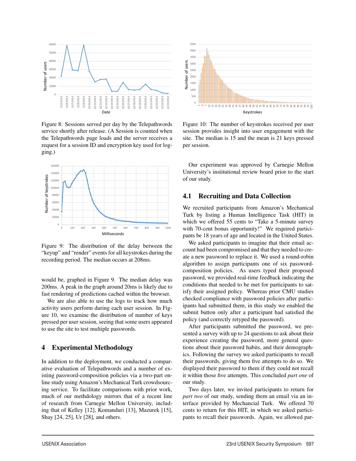

Figure 8: Sessions served per day by the Telepathwords service shortly after release. (A Session is counted when the Telepathwords page loads and the server receives a request for a session ID and encryption key used for logging.)



Figure 9: The distribution of the delay between the "keyup" and "render" events for all keystrokes during the recording period. The median occurs at 208ms.

would be, graphed in Figure 9. The median delay was 200ms. A peak in the graph around 20ms is likely due to fast rendering of predictions cached within the browser.

We are also able to use the logs to track how much activity users perform during each user session. In Figure 10, we examine the distribution of number of keys pressed per user session, seeing that some users appeared to use the site to test multiple passwords.

## 4 Experimental Methodology

In addition to the deployment, we conducted a comparative evaluation of Telepathwords and a number of existing password-composition policies via a two-part online study using Amazon's Mechanical Turk crowdsourcing service. To facilitate comparisons with prior work, much of our methdology mirrors that of a recent line of research from Carnegie Mellon University, including that of Kelley [12], Komanduri [13], Mazurek [15], Shay [24, 25], Ur [28], and others.



Figure 10: The number of keystrokes received per user session provides insight into user engagement with the site. The median is 15 and the mean is 21 keys pressed per session.

Our experiment was approved by Carnegie Mellon University's institutional review board prior to the start of our study.

## 4.1 Recruiting and Data Collection

We recruited participants from Amazon's Mechanical Turk by listing a Human Intelligence Task (HIT) in which we offered 55 cents to "Take a 5-minute survey with 70-cent bonus opportunity!" We required participants be 18 years of age and located in the United States.

We asked participants to imagine that their email account had been compromised and that they needed to create a new password to replace it. We used a round-robin algorithm to assign participants one of six passwordcomposition policies. As users typed their proposed password, we provided real-time feedback indicating the conditions that needed to be met for participants to satisfy their assigned policy. Whereas prior CMU studies checked compliance with password policies after participants had submitted them, in this study we enabled the submit button only after a participant had satisfied the policy (and correctly retyped the password).

After participants submitted the password, we presented a survey with up to 24 questions to ask about their experience creating the password, more general questions about their password habits, and their demographics. Following the survey we asked participants to recall their passwords, giving them five attempts to do so. We displayed their password to them if they could not recall it within those five attempts. This concluded *part one* of our study.

Two days later, we invited participants to return for *part two* of our study, sending them an email via an interface provided by Mechancial Turk. We offered 70 cents to return for this HIT, in which we asked participants to recall their passwords. Again, we allowed par-

7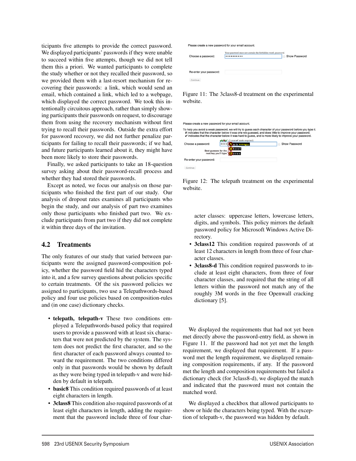ticipants five attempts to provide the correct password. We displayed participants' passwords if they were unable to succeed within five attempts, though we did not tell them this a priori. We wanted participants to complete the study whether or not they recalled their password, so we provided them with a last-resort mechanism for recovering their passwords: a link, which would send an email, which contained a link, which led to a webpage, which displayed the correct password. We took this intentionally circuitous approach, rather than simply showing participants their passwords on request, to discourage them from using the recovery mechanism without first trying to recall their passwords. Outside the extra effort for password recovery, we did not further penalize participants for failing to recall their passwords; if we had, and future participants learned about it, they might have been more likely to store their passwords.

Finally, we asked participants to take an 18-question survey asking about their password-recall process and whether they had stored their passwords.

Except as noted, we focus our analysis on those participants who finished the first part of our study. Our analysis of dropout rates examines all participants who begin the study, and our analysis of part two examines only those participants who finished part two. We exclude participants from part two if they did not complete it within three days of the invitation.

## 4.2 Treatments

The only features of our study that varied between participants were the assigned password-composition policy, whether the password field hid the characters typed into it, and a few survey questions about policies specific to certain treatments. Of the six password policies we assigned to participants, two use a Telepathwords-based policy and four use policies based on composition-rules and (in one case) dictionary checks.

- telepath, telepath-v These two conditions employed a Telepathwords-based policy that required users to provide a password with at least six characters that were not predicted by the system. The system does not predict the first character, and so the first character of each password always counted toward the requirement. The two conditions differed only in that passwords would be shown by default as they were being typed in telepath-v and were hidden by default in telepath.
- basic8 This condition required passwords of at least eight characters in length.
- 3class8 This condition also required passwords of at least eight characters in length, adding the requirement that the password include three of four char-

8

Please create a new password for your email account.

| Choose a password:      | Your password must not contain the forbidden word: password.<br> | Show Password<br>m. |
|-------------------------|------------------------------------------------------------------|---------------------|
| Re-enter your password: |                                                                  |                     |
| Continue                |                                                                  |                     |

Figure 11: The 3class8-d treatment on the experimental website.

#### Please create a new password for your email account

|                         | To help you avoid a weak password, we will try to quess each character of your password before you type it.<br>X indicates that the character below it was one we quessed, and does little to improve your password.<br>$\checkmark$ indicates that the character below it was hard to quess, and is more likely to improve your password. |                     |
|-------------------------|--------------------------------------------------------------------------------------------------------------------------------------------------------------------------------------------------------------------------------------------------------------------------------------------------------------------------------------------|---------------------|
|                         | $(3 \text{ more } \checkmark \text{ marks required})$<br>wxv                                                                                                                                                                                                                                                                               |                     |
| Choose a password:      | as in <b>essential</b>                                                                                                                                                                                                                                                                                                                     | Show Password<br>C. |
| Best guesses for the    | $H$ <sub>h-o-o-l</sub><br>next key you'll type <b>(a)</b> o-ree-s                                                                                                                                                                                                                                                                          |                     |
| Re-enter your password: |                                                                                                                                                                                                                                                                                                                                            |                     |
| Continue                |                                                                                                                                                                                                                                                                                                                                            |                     |

Figure 12: The telepath treatment on the experimental website.

acter classes: uppercase letters, lowercase letters, digits, and symbols. This policy mirrors the default password policy for Microsoft Windows Active Directory.

- 3class12 This condition required passwords of at least 12 characters in length from three of four character classes.
- 3class8-d This condition required passwords to include at least eight characters, from three of four character classes, and required that the string of all letters within the password not match any of the roughly 3M words in the free Openwall cracking dictionary [5].

We displayed the requirements that had not yet been met directly above the password-entry field, as shown in Figure 11. If the password had not yet met the length requirement, we displayed that requirement. If a password met the length requirement, we displayed remaining composition requirements, if any. If the password met the length and composition requirements but failed a dictionary check (for 3class8-d), we displayed the match and indicated that the password must not contain the matched word.

We displayed a checkbox that allowed participants to show or hide the characters being typed. With the exception of telepath-v, the password was hidden by default.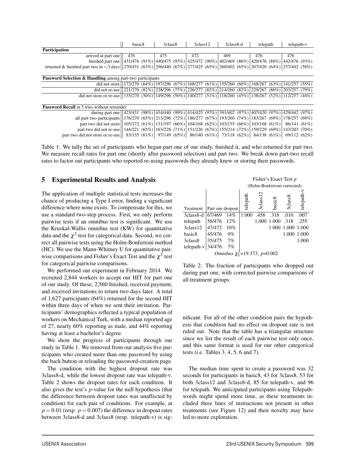|                                                                                                                                    | basic <sub>8</sub><br>3class8<br>3 <sub>class12</sub>                                                                  |  |     | 3class8-d |     | telepath |     | telepath-v |     |  |     |  |
|------------------------------------------------------------------------------------------------------------------------------------|------------------------------------------------------------------------------------------------------------------------|--|-----|-----------|-----|----------|-----|------------|-----|--|-----|--|
| <b>Participation</b>                                                                                                               |                                                                                                                        |  |     |           |     |          |     |            |     |  |     |  |
| arrived at part one                                                                                                                | 476                                                                                                                    |  | 475 |           | 472 |          | 469 |            | 476 |  | 476 |  |
| finished part one                                                                                                                  | (431/476 (91%) 440/475 (93%) 425/472 (90%) 402/469 (86%) 420/476 (88%) 442/476 (93%)                                   |  |     |           |     |          |     |            |     |  |     |  |
| returned & finished part two in <3 days   270/431 (63%)  296/440 (67%)  277/425 (65%)  260/402 (65%)  267/420 (64%)  257/442 (58%) |                                                                                                                        |  |     |           |     |          |     |            |     |  |     |  |
|                                                                                                                                    |                                                                                                                        |  |     |           |     |          |     |            |     |  |     |  |
| <b>Password Selection &amp; Handling among part-two participants</b>                                                               |                                                                                                                        |  |     |           |     |          |     |            |     |  |     |  |
| did not store                                                                                                                      | $172/270$ $(64\%)$ $ 197/296$ $(67\%)$ $ 168/277$ $(61\%)$ $ 155/260$ $(60\%)$ $ 168/267$ $(63\%)$ $ 141/257$ $(55\%)$ |  |     |           |     |          |     |            |     |  |     |  |
| did not re-use                                                                                                                     | $(221/270 (82\%)$ $(228/296 (77\%)$ $(226/277 (82\%)$ $(214/260 (82\%)$ $229/267 (86\%)$ $203/257 (79\%)$              |  |     |           |     |          |     |            |     |  |     |  |
| did not store or re-use   135/270 (50%)   149/296 (50%)   140/277 (51%)   118/260 (45%)   138/267 (52%)   112/257 (44%)            |                                                                                                                        |  |     |           |     |          |     |            |     |  |     |  |
|                                                                                                                                    |                                                                                                                        |  |     |           |     |          |     |            |     |  |     |  |
| <b>Password Recall</b> in 5 tries without reminder                                                                                 |                                                                                                                        |  |     |           |     |          |     |            |     |  |     |  |
| during part one (423/431 (98%) 434/440 (99%) 414/425 (97%) 391/402 (97%) 407/420 (97%) 429/442 (97%)                               |                                                                                                                        |  |     |           |     |          |     |            |     |  |     |  |
| $-11$ $-11$ $-10000$ $-110000$ $(600)$ $-101200$ $(720)$ $-10000$ $-1001$ $-10200$ $-1001$ $-1001$ $-10000$ $-1000$ $-1000$        |                                                                                                                        |  |     |           |     |          |     |            |     |  |     |  |

| all part-two participants    176/270 $(65%)$   213/296 $(72%)$   186/277 $(67%)$   193/260 $(74%)$   183/267 $(69%)$   178/257 $(69%)$ |  |  |  |  |  |  |
|----------------------------------------------------------------------------------------------------------------------------------------|--|--|--|--|--|--|
| part two did not store    105/172 (61%)   131/197 (66%)   104/168 (62%)   103/155 (66%)   103/168 (61%)   86/141 (61%)                 |  |  |  |  |  |  |
| part two did not re-use    144/221 (65%)   163/228 (71%)   151/226 (67%)   155/214 (72%)   159/229 (69%)   143/203 (70%)               |  |  |  |  |  |  |
| part two did not store or re-use   83/135 (61%)   97/149 (65%)   86/140 (61%)   73/118 (62%)   84/138 (61%)   69/112 (62%)             |  |  |  |  |  |  |
|                                                                                                                                        |  |  |  |  |  |  |

Table 1: We tally the set of participants who began part one of our study, finished it, and who returned for part two. We measure recall rates for part one (shortly after password selection) and part two. We break down part-two recall rates to factor out participants who reported re-using passwords they already knew or storing their passwords.

9

## 5 Experimental Results and Analysis

The application of multiple statistical tests increases the chance of producing a Type I error, finding a significant difference where none exists. To compensate for this, we use a standard two-step process. First, we only perform pairwise tests if an omnibus test is significant. We use the Kruskal-Wallis omnibus test (KW) for quantitative data and the  $\chi^2$  test for categorical data. Second, we correct all pairwise tests using the Holm-Bonferroni method (HC). We use the Mann-Whitney U for quantitative pairwise comparisons and Fisher's Exact Test and the  $\chi^2$  test for categorical pairwise comparisons.

We performed our experiment in February 2014. We recruited 2,844 workers to accept our HIT for part one of our study. Of these, 2,560 finished, received payment, and received invitations to return two days later. A total of 1,627 participants (64%) returned for the second HIT within three days of when we sent their invitation. Participants' demographics reflected a typical population of workers on Mechanical Turk, with a median reported age of 27, nearly 60% reporting as male, and 44% reporting having at least a bachelor's degree.

We show the progress of participants through our study in Table 1. We removed from our analysis five participants who created more than one password by using the back button or reloading the password-creation page.

The condition with the highest dropout rate was 3class8-d, while the lowest dropout rate was telepath-v. Table 2 shows the dropout rates for each condition. It also gives the test's *p*-value for the null hypothesis (that the difference between dropout rates was unaffected by condition) for each pair of conditions. For example, at  $p = 0.01$  (resp.  $p = 0.007$ ) the difference in dropout rates between 3class8-d and 3class8 (resp. telepath-v) is sig-

|                                     |                  |     | Fisher's Exact Test p       |                      |                    |                    |           |  |  |  |  |
|-------------------------------------|------------------|-----|-----------------------------|----------------------|--------------------|--------------------|-----------|--|--|--|--|
|                                     |                  |     | (Holm-Bonferroni corrected) |                      |                    |                    |           |  |  |  |  |
| Treatment                           | Part one dropout |     | telepath                    | 3 <sub>class12</sub> | basic <sub>8</sub> | 3 <sub>class</sub> | telepath- |  |  |  |  |
| 3class8-d                           | 67/469           | 14% | 1.000                       | .458                 | .318               | .010               | .007      |  |  |  |  |
| telepath                            | 56/476           | 12% |                             | 1.000                | 1.000              | .318               | .255      |  |  |  |  |
| 3class <sub>12</sub>                | 47/472           | 10% |                             |                      |                    | 1.000 1.000 1.000  |           |  |  |  |  |
| basic <sub>8</sub>                  | 45/476           | 9%  |                             |                      |                    | 1.000              | 1.000     |  |  |  |  |
| 3class8                             | 35/475           | 7%  |                             |                      |                    |                    | 1.000     |  |  |  |  |
| telepath-v                          | 34/476           | 7%  |                             |                      |                    |                    |           |  |  |  |  |
| Omnibus $\chi_5^2$ =19.373, p=0.002 |                  |     |                             |                      |                    |                    |           |  |  |  |  |

Table 2: The fraction of participants who dropped out during part one, with corrected pairwise comparisons of all treatment groups.

nificant. For all of the other condition pairs the hypothesis that condition had no effect on dropout rate is not ruled out. Note that the table has a triangular structure since we list the result of each pairwise test only once, and this same format is used for our other categorical tests (i.e. Tables 3, 4, 5, 6 and 7).

The median time spent to create a password was 32 seconds for participants in basic8, 43 for 3class8, 53 for both 3class12 and 3class8-d, 85 for telepath-v, and 96 for telepath. We anticipated participants using Telepathwords might spend more time, as these treatments included three lines of instructions not present in other treatments (see Figure 12) and their novelty may have led to more exploration.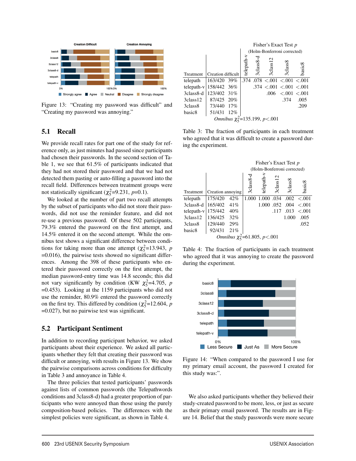

Figure 13: "Creating my password was difficult" and "Creating my password was annoying."

## 5.1 Recall

We provide recall rates for part one of the study for reference only, as just minutes had passed since participants had chosen their passwords. In the second section of Table 1, we see that 61.5% of participants indicated that they had not stored their password and that we had not detected them pasting or auto-filling a password into the recall field. Differences between treatment groups were not statistically significant ( $\chi^2$ =9.231, *p*=0.1).

We looked at the number of part two recall attempts by the subset of participants who did not store their passwords, did not use the reminder feature, and did not re-use a previous password. Of these 502 participants, 79.3% entered the password on the first attempt, and 14.5% entered it on the second attempt. While the omnibus test shows a significant difference between conditions for taking more than one attempt ( $\chi^2$ =13.943, *p* =0.016), the pairwise tests showed no significant differences. Among the 398 of these participants who entered their password correctly on the first attempt, the median password-entry time was 14.8 seconds; this did not vary significantly by condition (KW  $\chi^2$ =4.705, *p* =0.453). Looking at the 1159 participants who did not use the reminder, 80.9% entered the password correctly on the first try. This differed by condition ( $\chi^2$ =12.604, *p* =0.027), but no pairwise test was significant.

## 5.2 Participant Sentiment

In addition to recording participant behavior, we asked participants about their experience. We asked all participants whether they felt that creating their password was difficult or annoying, with results in Figure 13. We show the pairwise comparisons across conditions for difficulty in Table 3 and annoyance in Table 4.

The three policies that tested participants' passwords against lists of common passwords (the Telepathwords conditions and 3class8-d) had a greater proportion of participants who were annoyed than those using the purely composition-based policies. The differences with the simplest policies were significant, as shown in Table 4.

|                          |                    |     | Fisher's Exact Test p       |                       |                                          |               |                 |  |  |  |  |
|--------------------------|--------------------|-----|-----------------------------|-----------------------|------------------------------------------|---------------|-----------------|--|--|--|--|
|                          |                    |     | (Holm-Bonferroni corrected) |                       |                                          |               |                 |  |  |  |  |
| Treatment                | Creation difficult |     | telepath-v                  | 3class <sub>8-d</sub> | 3 <sub>class</sub> 12                    | $3c$ lass $8$ | basic8          |  |  |  |  |
| telepath                 | 163/420 39%        |     |                             |                       | $.374$ $.078$ $< .001$ $< .001$ $< .001$ |               |                 |  |  |  |  |
| telepath-v   158/442 36% |                    |     |                             |                       | .374 < 0.001 < 0.001 < 0.001             |               |                 |  |  |  |  |
| 3class8-d                | 123/402 31%        |     |                             |                       | .006                                     |               | < 0.001 < 0.001 |  |  |  |  |
| 3class <sub>12</sub>     | 87/425 20%         |     |                             |                       |                                          | .374          | .005            |  |  |  |  |
| 3class8                  | 73/440             | 17% |                             |                       |                                          |               | .209            |  |  |  |  |
| basic <sub>8</sub>       | 51/431             | 12% |                             |                       |                                          |               |                 |  |  |  |  |
|                          |                    |     |                             |                       | Omnibus $\chi_5^2$ =135.199, p<.001      |               |                 |  |  |  |  |

Table 3: The fraction of participants in each treatment who agreed that it was difficult to create a password during the experiment.

|                      |                   |                                    | Fisher's Exact Test p       |            |          |         |         |  |  |  |  |
|----------------------|-------------------|------------------------------------|-----------------------------|------------|----------|---------|---------|--|--|--|--|
|                      |                   |                                    | (Holm-Bonferroni corrected) |            |          |         |         |  |  |  |  |
|                      |                   |                                    | 3class8                     | telepath   | 3class12 | 3class8 | basic8  |  |  |  |  |
| Treatment            | Creation annoying |                                    |                             |            |          |         |         |  |  |  |  |
| telepath             | 175/420           | 42%                                | 1.000                       | 1.000      | .034     | .002    | $-.001$ |  |  |  |  |
| 3class8-d            | 165/402           | 41%                                |                             | 1.000 .052 |          | .004    | $-.001$ |  |  |  |  |
| telepath-v           | 175/442           | 40%                                |                             |            | .117     | .013    | $-.001$ |  |  |  |  |
| 3class <sub>12</sub> | 136/425           | 32%                                |                             |            |          | 1.000   | .005    |  |  |  |  |
| 3class8              | 129/440           | 29%                                |                             |            |          |         | .052    |  |  |  |  |
| basic8               | 92/431            | 21%                                |                             |            |          |         |         |  |  |  |  |
|                      |                   | Omnibus $\chi_5^2$ =61.805, p<.001 |                             |            |          |         |         |  |  |  |  |

Table 4: The fraction of participants in each treatment who agreed that it was annoying to create the password during the experiment.



Figure 14: "When compared to the password I use for my primary email account, the password I created for this study was:".

We also asked participants whether they believed their study-created password to be more, less, or just as secure as their primary email password. The results are in Figure 14. Belief that the study passwords were more secure

 $\overline{1}$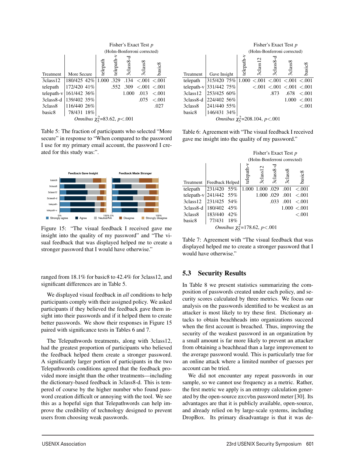|                      | Fisher's Exact Test p |                             |                                 |          |           |                     |         |  |  |  |  |  |
|----------------------|-----------------------|-----------------------------|---------------------------------|----------|-----------|---------------------|---------|--|--|--|--|--|
|                      |                       | (Holm-Bonferroni corrected) |                                 |          |           |                     |         |  |  |  |  |  |
| Treatment            | More Secure           |                             | telepath                        | telepath | 3class8-d | 3 <sub>class8</sub> | basic8  |  |  |  |  |  |
| 3class <sub>12</sub> | 180/425 42%           |                             | 1.000                           | .329     | .134      | < 0.001 < 0.001     |         |  |  |  |  |  |
| telepath             | 172/420 41%           |                             |                                 | .552     | .309      | < .001 < .001       |         |  |  |  |  |  |
| $telepath-v$         | 161/442 36%           |                             |                                 |          | 1.000     | .013                | < 0.001 |  |  |  |  |  |
| 3class8-d            | 139/402 35%           |                             |                                 |          |           | .075                | < .001  |  |  |  |  |  |
| 3class <sub>8</sub>  | 116/440 26%           |                             |                                 |          |           |                     | .027    |  |  |  |  |  |
| basic <sub>8</sub>   | 78/431 18%            |                             |                                 |          |           |                     |         |  |  |  |  |  |
|                      |                       |                             | Omnibus $\chi^2$ =83.62, p<.001 |          |           |                     |         |  |  |  |  |  |

Table 5: The fraction of participants who selected "More secure" in response to "When compared to the password I use for my primary email account, the password I created for this study was:".



Figure 15: "The visual feedback I received gave me insight into the quality of my password" and "The visual feedback that was displayed helped me to create a stronger password that I would have otherwise."

ranged from 18.1% for basic8 to 42.4% for 3class12, and significant differences are in Table 5.

We displayed visual feedback in *all* conditions to help participants comply with their assigned policy. We asked participants if they believed the feedback gave them insight into their passwords and if it helped them to create better passwords. We show their responses in Figure 15 paired with significance tests in Tables 6 and 7.

The Telepathwords treatments, along with 3class12, had the greatest proportion of participants who believed the feedback helped them create a stronger password. A significantly larger portion of participants in the two Telepathwords conditions agreed that the feedback provided more insight than the other treatments—including the dictionary-based feedback in 3class8-d. This is tempered of course by the higher number who found password creation difficult or annoying with the tool. We see this as a hopeful sign that Telepathwords can help improve the credibility of technology designed to prevent users from choosing weak passwords.

|                     |                                     | Fisher's Exact Test p       |                       |         |                         |           |  |  |  |  |  |
|---------------------|-------------------------------------|-----------------------------|-----------------------|---------|-------------------------|-----------|--|--|--|--|--|
|                     |                                     | (Holm-Bonferroni corrected) |                       |         |                         |           |  |  |  |  |  |
| <b>Treatment</b>    | Gave Insight                        | telepath                    | 3 <sub>class</sub> 12 | 3class8 | 3 <sub>class8</sub>     | basic8    |  |  |  |  |  |
| telepath            | 315/420 75%                         | 1.000                       |                       |         | < 0.001 < 0.001 < 0.001 |           |  |  |  |  |  |
|                     | telepath-v 331/442 75%              |                             | < 0.01                |         | < 0.001 < 0.001 < 0.001 |           |  |  |  |  |  |
| 3class12            | 253/425 60%                         |                             |                       | .873    | .678                    | $-.001$   |  |  |  |  |  |
| 3class8-d           | 224/402 56%                         |                             |                       |         | 1.000                   | $-.001$   |  |  |  |  |  |
| 3class <sub>8</sub> | 241/440 55%                         |                             |                       |         |                         | ${<}.001$ |  |  |  |  |  |
| basic <sub>8</sub>  | 146/431 34%                         |                             |                       |         |                         |           |  |  |  |  |  |
|                     | Omnibus $\chi_5^2$ =208.104, p<.001 |                             |                       |         |                         |           |  |  |  |  |  |

Table 6: Agreement with "The visual feedback I received gave me insight into the quality of my password."

|                                    |                 |     | Fisher's Exact Test p       |                       |           |         |              |  |  |  |  |
|------------------------------------|-----------------|-----|-----------------------------|-----------------------|-----------|---------|--------------|--|--|--|--|
|                                    |                 |     | (Holm-Bonferroni corrected) |                       |           |         |              |  |  |  |  |
| Treatment                          | Feedback Helped |     | telepath-v                  | 3 <sub>class</sub> 12 | 3class8-d | 3class8 | basic8       |  |  |  |  |
| telepath                           | 231/420 55%     |     | 1.000                       | 1.000 .029            |           | .001    | $-.001$      |  |  |  |  |
| telepath-v                         | 241/442 55%     |     |                             | 1.000 .029            |           | .001    | $-.001$      |  |  |  |  |
| 3class12                           | 231/425 54%     |     |                             |                       | .033      | .001    | $-.001$      |  |  |  |  |
| 3class8-d                          | 180/402 45%     |     |                             |                       |           |         | 1.000 < 0.01 |  |  |  |  |
| 3class8                            | 183/440         | 42% |                             |                       |           |         | $-.001$      |  |  |  |  |
| basic <sub>8</sub>                 | 77/431          | 18% |                             |                       |           |         |              |  |  |  |  |
| Omnibus $\chi_5^2$ =178.62, p<.001 |                 |     |                             |                       |           |         |              |  |  |  |  |

Table 7: Agreement with "The visual feedback that was displayed helped me to create a stronger password that I would have otherwise."

## 5.3 Security Results

 $\overline{1}$ 

In Table 8 we present statistics summarizing the composition of passwords created under each policy, and security scores calculated by three metrics. We focus our analysis on the passwords identified to be weakest as an attacker is most likely to try these first. Dictionary attacks to obtain beachheads into organizations succeed when the first account is breached. Thus, improving the security of the weakest password in an organization by a small amount is far more likely to prevent an attacker from obtaining a beachhead than a large improvement to the average password would. This is particularly true for an online attack where a limited number of guesses per account can be tried.

We did not encounter any repeat passwords in our sample, so we cannot use frequency as a metric. Rather, the first metric we apply is an entropy calculation generated by the open-source zxcvbn password meter [30]. Its advantages are that it is publicly available, open-source, and already relied on by large-scale systems, including DropBox. Its primary disadvantage is that it was de-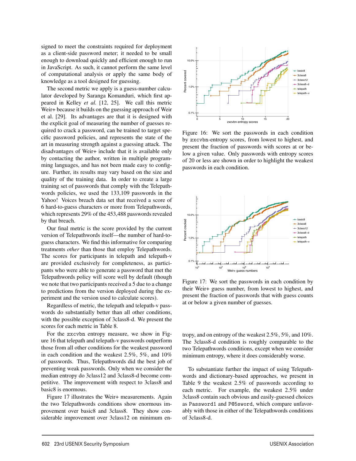signed to meet the constraints required for deployment as a client-side password meter; it needed to be small enough to download quickly and efficient enough to run in JavaScript. As such, it cannot perform the same level of computational analysis or apply the same body of knowledge as a tool designed for guessing.

The second metric we apply is a guess-number calculator developed by Saranga Komanduri, which first appeared in Kelley *et al.* [12, 25]. We call this metric Weir+ because it builds on the guessing approach of Weir et al. [29]. Its advantages are that it is designed with the explicit goal of measuring the number of guesses required to crack a password, can be trained to target specific password policies, and represents the state of the art in measuring strength against a guessing attack. The disadvantages of Weir+ include that it is available only by contacting the author, written in multiple programming languages, and has not been made easy to configure. Further, its results may vary based on the size and quality of the training data. In order to create a large training set of passwords that comply with the Telepathwords policies, we used the 133,109 passwords in the Yahoo! Voices breach data set that received a score of 6 hard-to-guess characters or more from Telepathwords, which represents 29% of the 453,488 passwords revealed by that breach.

Our final metric is the score provided by the current version of Telepathwords itself—the number of hard-toguess characters. We find this informative for comparing treatments *other* than those that employ Telepathwords. The scores for participants in telepath and telepath-v are provided exclusively for completeness, as participants who were able to generate a password that met the Telepathwords policy will score well by default (though we note that two participants received a 5 due to a change to predictions from the version deployed during the experiment and the version used to calculate scores).

Regardless of metric, the telepath and telepath-v passwords do substantially better than all other conditions, with the possible exception of 3class8-d. We present the scores for each metric in Table 8.

For the zxcvbn entropy measure, we show in Figure 16 that telepath and telepath-v passwords outperform those from all other conditions for the weakest password in each condition and the weakest 2.5%, 5%, and 10% of passwords. Thus, Telepathwords did the best job of preventing weak passwords. Only when we consider the median entropy do 3class12 and 3class8-d become competitive. The improvement with respect to 3class8 and basic8 is enormous.

Figure 17 illustrates the Weir+ measurements. Again the two Telepathwords conditions show enormous improvement over basic8 and 3class8. They show considerable improvement over 3class12 on minimum en-

 $\overline{\phantom{0}}$ 



Figure 16: We sort the passwords in each condition by zxcvbn-entropy scores, from lowest to highest, and present the fraction of passwords with scores at or below a given value. Only passwords with entropy scores of 20 or less are shown in order to highlight the weakest passwords in each condition.



Figure 17: We sort the passwords in each condition by their Weir+ guess number, from lowest to highest, and present the fraction of passwords that with guess counts at or below a given number of guesses.

tropy, and on entropy of the weakest 2.5%, 5%, and 10%. The 3class8-d condition is roughly comparable to the two Telepathwords conditions, except when we consider minimum entropy, where it does considerably worse.

To substantiate further the impact of using Telepathwords and dictionary-based approaches, we present in Table 9 the weakest 2.5% of passwords according to each metric. For example, the weakest 2.5% under 3class8 contain such obvious and easily-guessed choices as Password1 and P@5sword, which compare unfavorably with those in either of the Telepathwords conditions of 3class8-d.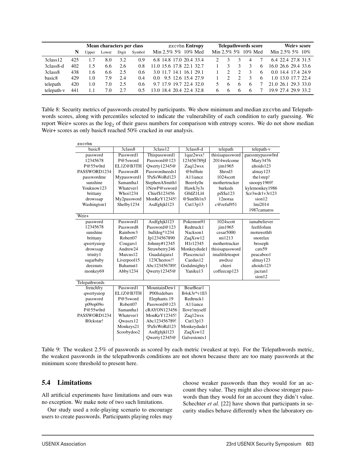|                     | Mean characters per class |              |       |       |               | zxcvbn Entropy                | <b>Telepathwords score</b> |            |    | Weir+ score |                     |
|---------------------|---------------------------|--------------|-------|-------|---------------|-------------------------------|----------------------------|------------|----|-------------|---------------------|
|                     | N                         | <b>Upper</b> | Lower | Digit | Symbol        | Min 2.5% 5% 10% Med           | Min 2.5% 5% 10% Med        |            |    |             | Min 2.5% 5% $10\%$  |
| 3class12            | 425                       | .7           | 8.0   | 3.2   | 0.9           | 6.8 14.8 17.0 20.4 33.4       |                            |            |    |             | 6.4 22.4 27.8 31.5  |
| 3class8-d           | 402                       | 1.5          | 6.6   | 2.6   | 0.8           | 11.0 15.6 17.8 22.1 32.7      |                            |            |    | 6           | 16.0 26.6 29.4 33.6 |
| 3class <sub>8</sub> | 438                       | .6           | 6.6   | 2.5   | $0.6^{\circ}$ | 3.0 11.7 14.1 16.1 29.1       |                            |            |    | 6           | 0.0 14.4 17.4 24.9  |
| basic <sub>8</sub>  | 429                       | 1.0          | 7.9   | 2.4   | 0.4           | 9.5 12.6 15.4 27.9<br>$0.0^-$ |                            |            |    | 6           | 1.0 13.0 17.7 22.4  |
| telepath            | 420                       | 1.0          | 7.0   | 2.5   | $0.6^{\circ}$ | 9.7 17.9 19.7 22.4 32.0       | 5.                         | $\sqrt{2}$ | -6 |             | 21.0 26.1 29.3 33.0 |
| telepath-v          | 441                       | 1.1          | 7.0   | 2.7   | 0.5           | 13.0 18.4 20.4 22.4 32.8      | 6<br>-6                    | 6          | -6 |             | 19.9 27.4 29.9 33.2 |

Table 8: Security metrics of passwords created by participants. We show minimum and median zxcvbn and Telepathwords scores, along with percentiles selected to indicate the vulnerability of each condition to early guessing. We report Weir+ scores as the log<sub>2</sub> of their guess numbers for comparison with entropy scores. We do not show median Weir+ scores as only basic8 reached 50% cracked in our analysis.

| zxcvbn        |                      |                             |              |                 |                      |
|---------------|----------------------|-----------------------------|--------------|-----------------|----------------------|
| basic8        | 3class8              | 3class12                    | $3class8-d$  | telepath        | telepath-v           |
| password      | Password1            | Thispassword1               | 1qaz2wsx!    | thisisapassword | guessmypassw0rd      |
| 12345678      | P@5sword             | Password@123                | 123456789jI  | 2014welcome     | Mary3476             |
| P@55w0rd      | EL1Z@B3TH            | Owerty12345@                | Zaq12wsx     | jim1965         | altoids123           |
| PASSWORD1234  | Password8            | Passwordneeds1              | @bs0lute     | Shrod3          | almay123             |
| passwordme    | Mypassword1          | !PaSsWoRd123                | A11iance     | $1024$ scott    | the1step!            |
| sunshine      | Samantha1            | StephenASmith1              | Beer4y0u     | mothertrucker   | $\text{snoopy1969!}$ |
| Youknow123    | Whatever1            | 1NewP@ssword                | Hawk3y3s     | burkeds         | kylemonkey1986       |
| brittany      | <b>Whoi1234</b>      | Chief\$123456               | G0dZ1L14     | pi\$\$a123      | Scr3wdr1v3r123       |
| drowssap      | My2password          | MonKeY12345!                | @SunSh1n3    | 12noraa         | sion12               |
| Washington1   | Shelby1234           | Asdfghjkl123                | Cut13p13     | c@reful951      | lmi2014              |
|               |                      |                             |              |                 | 1987camaros          |
| Weir+         |                      |                             |              |                 |                      |
| password      | Password1            | Asdfghjkl123                | Pokemon91    | 1024scott       | iamabeliever         |
| 12345678      | Password8            | Password@123                | Redtruck1    | jim1965         | feefifofum           |
| sunshine      | Rainbow3             | bulldog*1234                | Nackson1     | cesar5000       | motuwethfr           |
| brittany      | Robert <sub>07</sub> | Jp1234567890                | ZaqXsw12     | mi1213          | snorelax             |
| qwertyuiop    | Cougars1             | Johnny#12345                | H1r12345     | mothertrucker   | broseph              |
| drowssap      | Andrew24             | Strawberry246               | Monkeydude1  | thisisapassword | cats59               |
| trinity1      | Marcus12             | Guadalajara1                | Plascencia1  | imalittleteapot | peacaboo1            |
| sugarbaby     | Liverpool15          | 123Cheetos!!                | Caedus12     | awdxsz          | almay123             |
| deeznuts      | Bahamut1             | Abc123456789!               | Godalmighty1 | chieri          | altoids123           |
| monkey69      | Abby1234             | Qwerty12345@                | Yaniku13     | coffeecup123    | jacran1              |
|               |                      |                             |              |                 | sion12               |
| Telepathwords |                      |                             |              |                 |                      |
| frenchfry     | Password1            | $M$ ountainDew <sub>1</sub> | BearBear1    |                 |                      |
| qwertyuiop    | EL1Z@B3TH            | P001sidebars                | B4sk3r*v1ll3 |                 |                      |
| password      | P@5sword             | Elephants.19                | Redtruck1    |                 |                      |
| p09op09o      | Robert <sub>07</sub> | Password $@123$             | A11iance     |                 |                      |
| P@55w0rd      | Samantha1            | cRAYON123456                | Ilove!myself |                 |                      |
| PASSWORD1234  | Whatever1            | MonKeY12345!                | Zaq12wsx     |                 |                      |
| R0ckstar!     | Owaszx12             | Abc123456789!               | Cut13p13     |                 |                      |
|               | Monkeys21            | !PaSsWoRd123                | Monkeydude1  |                 |                      |
|               | Scoobydoo2           | Asdfghjkl123                | ZaqXsw12     |                 |                      |
|               |                      | Qwerty12345@                | Galvestontx1 |                 |                      |

Table 9: The weakest 2.5% of passwords as scored by each metric (weakest at top). For the Telepathwords metric, the weakest passwords in the telepathwords conditions are not shown because there are too many passwords at the minimum score threshold to present here.

13

## 5.4 Limitations

All artificial experiments have limitations and ours was no exception. We make note of two such limitations.

Our study used a role-playing scenario to encourage users to create passwords. Participants playing roles may choose weaker passwords than they would for an account they value. They might also choose stronger passwords than they would for an account they didn't value. Schechter *et al.* [22] have shown that participants in security studies behave differently when the laboratory en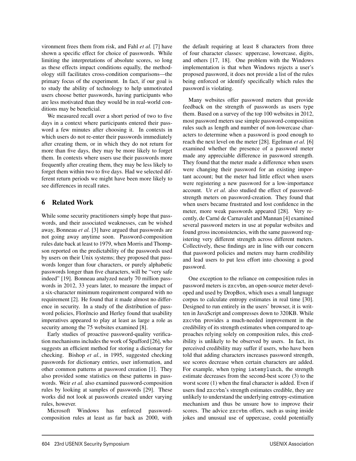vironment frees them from risk, and Fahl *et al.* [7] have shown a specific effect for choice of passwords. While limiting the interpretations of absolute scores, so long as these effects impact conditions equally, the methodology still facilitates cross-condition comparisons—the primary focus of the experiment. In fact, if our goal is to study the ability of technology to help unmotivated users choose better passwords, having participants who are less motivated than they would be in real-world conditions may be beneficial.

We measured recall over a short period of two to five days in a context where participants entered their password a few minutes after choosing it. In contexts in which users do not re-enter their passwords immediately after creating them, or in which they do not return for more than five days, they may be more likely to forget them. In contexts where users use their passwords more frequently after creating them, they may be less likely to forget them within two to five days. Had we selected different return periods we might have been more likely to see differences in recall rates.

## 6 Related Work

While some security practitioners simply hope that passwords, and their associated weaknesses, can be wished away, Bonneau *et al.* [3] have argued that passwords are not going away anytime soon. Password-composition rules date back at least to 1979, when Morris and Thompson reported on the predictability of the passwords used by users on their Unix systems; they proposed that passwords longer than four characters, or purely alphabetic passwords longer than five characters, will be "very safe indeed" [19]. Bonneau analyzed nearly 70 million passwords in 2012, 33 years later, to measure the impact of a six-character minimum requirement compared with no requirement [2]. He found that it made almost no difference in security. In a study of the distribution of password policies, Florêncio and Herley found that usability imperatives appeared to play at least as large a role as security among the 75 websites examined [8].

Early studies of proactive password-quality verification mechanisms includes the work of Spafford [26], who suggests an efficient method for storing a dictionary for checking. Bishop *et al.*, in 1995, suggested checking passwords for dictionary entries, user information, and other common patterns at password creation [1]. They also provided some statistics on these patterns in passwords. Weir *et al.* also examined password-composition rules by looking at samples of passwords [29]. These works did not look at passwords created under varying rules, however.

Microsoft Windows has enforced passwordcomposition rules at least as far back as 2000, with

 $\overline{a}$ 

the default requiring at least 8 characters from three of four character classes: uppercase, lowercase, digits, and others [17, 18]. One problem with the Windows implementation is that when Windows rejects a user's proposed password, it does not provide a list of the rules being enforced or identify specifically which rules the password is violating.

Many websites offer password meters that provide feedback on the strength of passwords as users type them. Based on a survey of the top 100 websites in 2012, most password meters use simple password-composition rules such as length and number of non-lowercase characters to determine when a password is good enough to reach the next level on the meter [28]. Egelman *et al.* [6] examined whether the presence of a password meter made any appreciable difference in password strength. They found that the meter made a difference when users were changing their password for an existing important account; but the meter had little effect when users were registering a new password for a low-importance account. Ur *et al.* also studied the effect of passwordstrength meters on password-creation. They found that when users became frustrated and lost confidence in the meter, more weak passwords appeared [28]. Very recently, de Carné de Carnavalet and Mannan [4] examined several password meters in use at popular websites and found gross inconsistencies, with the same password registering very different strength across different meters. Collectively, these findings are in line with our concern that password policies and meters may harm credibility and lead users to put less effort into choosing a good password.

One exception to the reliance on composition rules in password meters is zxcvbn, an open-source meter developed and used by DropBox, which uses a small language corpus to calculate entropy estimates in real time [30]. Designed to run entirely in the users' browser, it is written in JavaScript and compresses down to 320KB. While zxcvbn provides a much-needed improvement in the credibility of its strength estimates when compared to approaches relying solely on composition rules, this credibility is unlikely to be observed by users. In fact, its perceived credibility may suffer if users, who have been told that adding characters increases password strength, see scores decrease when certain characters are added. For example, when typing iatemylunch, the strength estimate decreases from the second-best score (3) to the worst score (1) when the final character is added. Even if users find zxcvbn's strength estimates credible, they are unlikely to understand the underlying entropy-estimation mechanism and thus be unsure how to improve their scores. The advice zxcvbn offers, such as using inside jokes and unusual use of uppercase, could potentially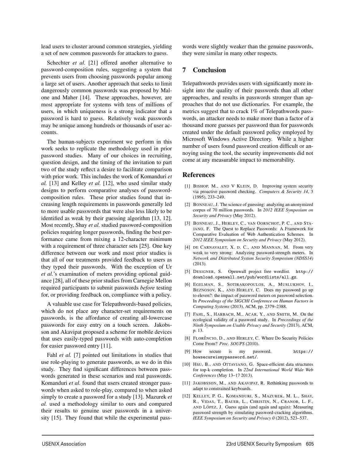lead users to cluster around common strategies, yielding a set of new common passwords for attackers to guess.

Schechter *et al.* [21] offered another alternative to password-composition rules, suggesting a system that prevents users from choosing passwords popular among a large set of users. Another approach that seeks to limit dangerously common passwords was proposed by Malone and Maher [14]. These approaches, however, are most appropriate for systems with tens of millions of users, in which uniqueness is a strong indicator that a password is hard to guess. Relatively weak passwords may be unique among hundreds or thousands of user accounts.

The human-subjects experiment we perform in this work seeks to replicate the methodology used in prior password studies. Many of our choices in recruiting, question design, and the timing of the invitation to part two of the study reflect a desire to facilitate comparison with prior work. This includes the work of Komanduri *et al.* [13] and Kelley *et al.* [12], who used similar study designs to perform comparative analyses of passwordcomposition rules. These prior studies found that increasing length requirements in passwords generally led to more usable passwords that were also less likely to be identified as weak by their guessing algorithm [13, 12]. Most recently, Shay *et al.* studied password-composition policies requiring longer passwords, finding the best performance came from mixing a 12-character minimum with a requirement of three character sets [25]. One key difference between our work and most prior studies is that all of our treatments provided feedback to users as they typed their passwords. With the exception of Ur *et al.*'s examination of meters providing optional guidance [28], all of these prior studies from Carnegie Mellon required participants to submit passwords *before* testing for, or providing feedback on, compliance with a policy.

A valuable use case for Telepathwords-based policies, which do not place any character-set requirements on passwords, is the affordance of creating all-lowercase passwords for easy entry on a touch screen. Jakobsson and Akavipat proposed a scheme for mobile devices that uses easily-typed passwords with auto-completion for easier password entry [11].

Fahl *et al.* [7] pointed out limitations in studies that use role-playing to generate passwords, as we do in this study. They find significant differences between passwords generated in these scenarios and real passwords. Komanduri et al. found that users created stronger passwords when asked to role-play, compared to when asked simply to create a password for a study [13]. Mazurek *et al.* used a methodology similar to ours and compared their results to genuine user passwords in a university [15]. They found that while the experimental passwords were slightly weaker than the genuine passwords, they were similar in many other respects.

## 7 Conclusion

Telepathwords provides users with significantly more insight into the quality of their passwords than all other approaches, and results in passwords stronger than approaches that do not use dictionaries. For example, the metrics suggest that to crack 1% of Telepathwords passwords, an attacker needs to make more than a factor of a thousand more guesses per password than for passwords created under the default password policy employed by Microsoft Windows Active Directory. While a higher number of users found password creation difficult or annoying using the tool, the security improvements did not come at any measurable impact to memorability.

#### References

15

- [1] BISHOP, M., AND V KLEIN, D. Improving system security via proactive password checking. *Computers & Security 14*, 3 (1995), 233–249.
- [2] BONNEAU, J. The science of guessing: analyzing an anonymized corpus of 70 million passwords. In *2012 IEEE Symposium on Security and Privacy* (May 2012).
- [3] BONNEAU, J., HERLEY, C., VAN OORSCHOT, P. C., AND STA-JANO, F. The Quest to Replace Passwords: A Framework for Comparative Evaluation of Web Authentication Schemes. In *2012 IEEE Symposium on Security and Privacy* (May 2012).
- [4] DE CARNAVALET, X. D. C., AND MANNAN, M. From very weak to very strong: Analyzing password-strength meters. In *Network and Distributed System Security Symposium (NDSS14)* (2013).
- [5] DESIGNER, S. Openwall project free wordlist. http:// download.openwall.net/pub/wordlists/all.gz.
- [6] EGELMAN, S., SOTIRAKOPOULOS, A., MUSLUKHOV, I., BEZNOSOV, K., AND HERLEY, C. Does my password go up to eleven?: the impact of password meters on password selection. In *Proceedings of the SIGCHI Conference on Human Factors in Computing Systems* (2013), ACM, pp. 2379–2388.
- [7] FAHL, S., HARBACH, M., ACAR, Y., AND SMITH, M. On the ecological validity of a password study. In *Proceedings of the Ninth Symposium on Usable Privacy and Security* (2013), ACM, p. 13.
- [8] FLORÊNCIO, D., AND HERLEY, C. Where Do Security Policies Come From? *Proc. SOUPS* (2010).
- [9] How secure is my password. https:// howsecureismypassword.net/.
- [10] HSU, B., AND OTTAVIANO, G. Space-efficient data structures for top-k completion. In *22nd International World Wide Web Conferences* (May 13–17 2013).
- [11] JAKOBSSON, M., AND AKAVIPAT, R. Rethinking passwords to adapt to constrained keyboards.
- [12] KELLEY, P. G., KOMANDURI, S., MAZUREK, M. L., SHAY, R., VIDAS, T., BAUER, L., CHRISTIN, N., CRANOR, L. F., AND LÓPEZ, J. Guess again (and again and again): Measuring password strength by simulating password-cracking algorithms. *IEEE Symposium on Security and Privacy 0* (2012), 523–537.